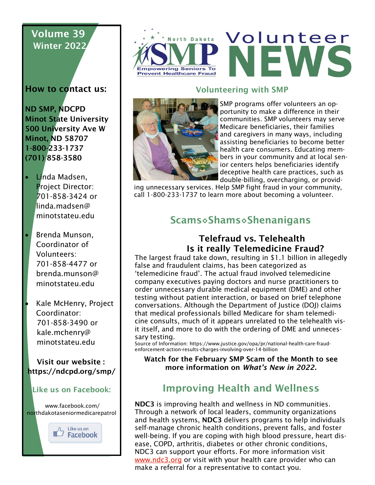# Volume 39 Winter 2022

How to contact us:

ND SMP, NDCPD Minot State University 500 University Ave W Minot, ND 58707 1-800-233-1737 (701) 858-3580

- Linda Madsen, Project Director: 701-858-3424 or linda.madsen@ minotstateu.edu
- Brenda Munson, Coordinator of Volunteers: 701-858-4477 or brenda.munson@ minotstateu.edu
- Kale McHenry, Project Coordinator: 701-858-3490 or kale.mchenry@ minotstateu.edu

 Visit our website : https://ndcpd.org/smp/

#### Like us on Facebook:

www.facebook.com/ northdakotaseniormedicarepatrol





# **North Dakota Volunteer JEW**

#### Volunteering with SMP



SMP programs offer volunteers an opportunity to make a difference in their communities. SMP volunteers may serve Medicare beneficiaries, their families and caregivers in many ways, including assisting beneficiaries to become better health care consumers. Educating members in your community and at local senior centers helps beneficiaries identify deceptive health care practices, such as double-billing, overcharging, or provid-

ing unnecessary services. Help SMP fight fraud in your community, call 1-800-233-1737 to learn more about becoming a volunteer.

# Scams◊Shams◊Shenanigans

### Telefraud vs. Telehealth Is it really Telemedicine Fraud?

The largest fraud take down, resulting in \$1.1 billion in allegedly false and fraudulent claims, has been categorized as 'telemedicine fraud'. The actual fraud involved telemedicine company executives paying doctors and nurse practitioners to order unnecessary durable medical equipment (DME) and other testing without patient interaction, or based on brief telephone conversations. Although the Department of Justice (DOJ) claims that medical professionals billed Medicare for sham telemedicine consults, much of it appears unrelated to the telehealth visit itself, and more to do with the ordering of DME and unnecessary testing.

Source of Information: https://www.justice.gov/opa/pr/national-health-care-fraudenforcement-action-results-charges-involving-over-14-billion

Watch for the February SMP Scam of the Month to see more information on *What's New in 2022.*

## Improving Health and Wellness

NDC3 is improving health and wellness in ND communities. Through a network of local leaders, community organizations and health systems, NDC3 delivers programs to help individuals self-manage chronic health conditions, prevent falls, and foster well-being. If you are coping with high blood pressure, heart disease, COPD, arthritis, diabetes or other chronic conditions, NDC3 can support your efforts. For more information visit [www.ndc3.org](https://www.ndc3.org/Programs) or visit with your health care provider who can make a referral for a representative to contact you.